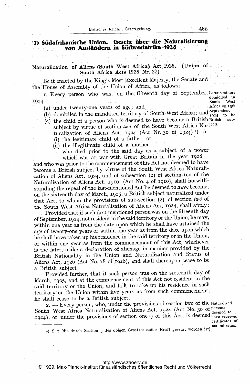## '7) Südafrikanische Union. Gesetz über die Naturalisierung-<br>- von Ausländern in Südwestafrika 4928

## Naturalization of Aliens (South West Africa) Act. 1928. (Union of South Africa Acts 1928 Nr. 27)

Be it enacted by the King's Most Excellent Majesty, the Senate and the House of Assembly of the Union of Africa, as follows:-

I. Every person who was, on the fifteenth day of September, Certain minors domiciled in 1924-. domiciled in South West<br>Africa on 15<sup>th</sup>

- (a) under twenty-one years of age; and
- (b) domiciled in the mandated territory of South West Africa; and  $\frac{1}{1924}$ , to be
- (c) the child of <sup>a</sup> person who is deemed to have become <sup>a</sup> British British subsubject by virtue of section two of the South West Africa Na-jects. turalization of Aliens Act, 1924 (Act Nr. 30 of 1924)<sup>1</sup>): or
	- (i) the legitimate child of a father; or
	- (ii) the illegitimate child, of a mother
		- who died prior to the said day as a subject of a power which was at war with Great Britain in the year 1918,

and who was prior to the commencement of this Act not deemed to have become a British subject by virtue of the South West Africa Naturalization of Aliens Act, 1924, and of subsection (2) of section ten of the Naturalization of Aliens Act, 1910, (Act No. 4 of 1910), shall notwithstanding the repeal of the last-mentioned Act be deemed to have become, on the sixteenth day of March, 1925, a British subject naturalized under that Act, to whom the provisions of sub-section (2) of section two of the South West Africa Naturalization of Aliens Act, 1924, shall apply:

Provided that if such first mentioned person was on the fifteenth day of September, 1924, not resident in the said territory or the Union, he may, within one year as from the date upon which he shall have attained the age of twenty-one years or within one year as from the date upon which he shall have taken up his residence in the said territory or in the Union, or within one year as from the commencement of this Act, whichever is the later, make <sup>a</sup> declaration of alienage in manner provided by the British Nationality in the Union and Naturalization and Status of Aliens Act, 1926 (Act No. 18 Of 1926), and shall thereupon cease to be a British subject:

Provided further, that if such person was on the sixteenth day of March, 1925, and at the commencement of this Act not resident in the said territory or the Union, and fails to take up his residence in such territory or the Union within five years. as from such commencement, he shall cease to be a British subject.

hall cease to be a British subject.<br>2. — Every person, who, under the provisions of section two of the Naturalized South West Africa Naturalization of Aliens Act, 1924 (Act No- 30 of persons deemed to  $1924$ ), or under the provisions of section one<sup> $I$ </sup>) of this Act, is deemed have received

certificates of

<sup>1</sup>) S. I (die durch Section 3 des obigen Gesetzes außer Kraft gesetzt worden ist)

## <http://www.zaoerv.de>

© 1929, Max-Planck-Institut für ausländisches öffentliches Recht und Völkerrecht